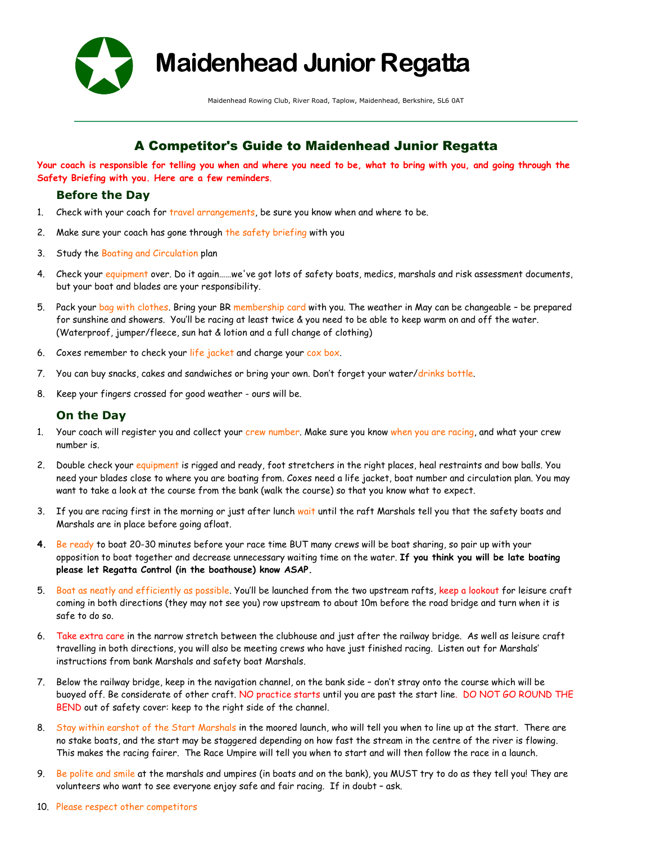

**Maidenhead Junior Regatta**

Maidenhead Rowing Club, River Road, Taplow, Maidenhead, Berkshire, SL6 0AT

# A Competitor's Guide to Maidenhead Junior Regatta

**Your coach is responsible for telling you when and where you need to be, what to bring with you, and going through the Safety Briefing with you. Here are a few reminders**.

# **Before the Day**

- 1. Check with your coach for travel arrangements, be sure you know when and where to be.
- 2. Make sure your coach has gone through the safety briefing with you
- 3. Study the Boating and Circulation plan
- 4. Check your equipment over. Do it again......we've got lots of safety boats, medics, marshals and risk assessment documents, but your boat and blades are your responsibility.
- 5. Pack your bag with clothes. Bring your BR membership card with you. The weather in May can be changeable be prepared for sunshine and showers. You'll be racing at least twice & you need to be able to keep warm on and off the water. (Waterproof, jumper/fleece, sun hat & lotion and a full change of clothing)
- 6. Coxes remember to check your life jacket and charge your cox box.
- 7. You can buy snacks, cakes and sandwiches or bring your own. Don't forget your water/drinks bottle.
- 8. Keep your fingers crossed for good weather ours will be.

# **On the Day**

- 1. Your coach will register you and collect your crew number. Make sure you know when you are racing, and what your crew number is.
- 2. Double check your equipment is rigged and ready, foot stretchers in the right places, heal restraints and bow balls. You need your blades close to where you are boating from. Coxes need a life jacket, boat number and circulation plan. You may want to take a look at the course from the bank (walk the course) so that you know what to expect.
- 3. If you are racing first in the morning or just after lunch wait until the raft Marshals tell you that the safety boats and Marshals are in place before going afloat.
- **4.** Be ready to boat 20-30 minutes before your race time BUT many crews will be boat sharing, so pair up with your opposition to boat together and decrease unnecessary waiting time on the water. **If you think you will be late boating please let Regatta Control (in the boathouse) know ASAP.**
- 5. Boat as neatly and efficiently as possible. You'll be launched from the two upstream rafts, keep a lookout for leisure craft coming in both directions (they may not see you) row upstream to about 10m before the road bridge and turn when it is safe to do so.
- 6. Take extra care in the narrow stretch between the clubhouse and just after the railway bridge. As well as leisure craft travelling in both directions, you will also be meeting crews who have just finished racing. Listen out for Marshals' instructions from bank Marshals and safety boat Marshals.
- 7. Below the railway bridge, keep in the navigation channel, on the bank side don't stray onto the course which will be buoyed off. Be considerate of other craft. NO practice starts until you are past the start line. DO NOT GO ROUND THE BEND out of safety cover: keep to the right side of the channel.
- 8. Stay within earshot of the Start Marshals in the moored launch, who will tell you when to line up at the start. There are no stake boats, and the start may be staggered depending on how fast the stream in the centre of the river is flowing. This makes the racing fairer. The Race Umpire will tell you when to start and will then follow the race in a launch.
- 9. Be polite and smile at the marshals and umpires (in boats and on the bank), you MUST try to do as they tell you! They are volunteers who want to see everyone enjoy safe and fair racing. If in doubt – ask.
- 10. Please respect other competitors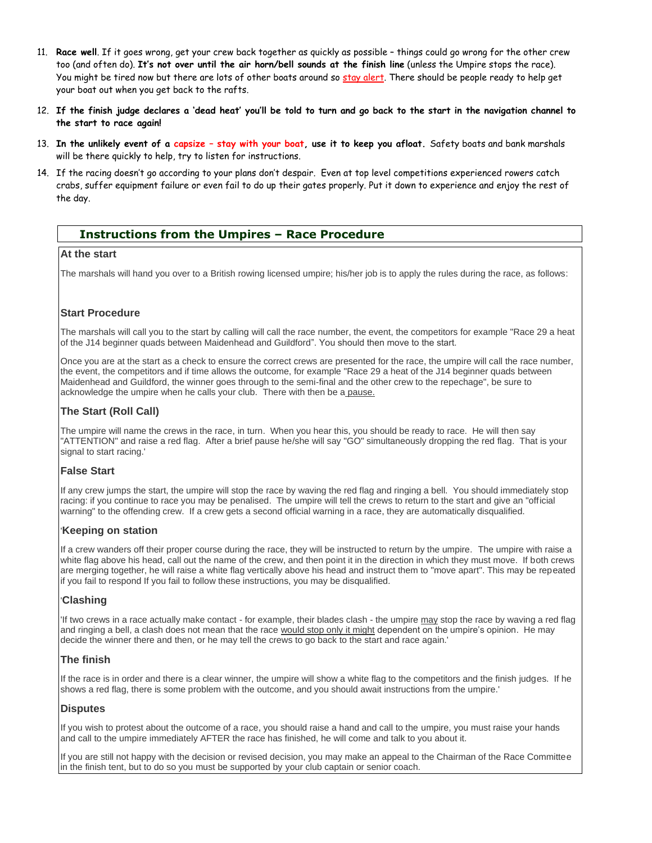- 11. **Race well**. If it goes wrong, get your crew back together as quickly as possible things could go wrong for the other crew too (and often do). **It's not over until the air horn/bell sounds at the finish line** (unless the Umpire stops the race). You might be tired now but there are lots of other boats around so stay alert. There should be people ready to help get your boat out when you get back to the rafts.
- 12. **If the finish judge declares a 'dead heat' you'll be told to turn and go back to the start in the navigation channel to the start to race again!**
- 13. **In the unlikely event of a capsize – stay with your boat, use it to keep you afloat.** Safety boats and bank marshals will be there quickly to help, try to listen for instructions.
- 14. If the racing doesn't go according to your plans don't despair. Even at top level competitions experienced rowers catch crabs, suffer equipment failure or even fail to do up their gates properly. Put it down to experience and enjoy the rest of the day.

# **Instructions from the Umpires – Race Procedure**

#### **At the start**

The marshals will hand you over to a British rowing licensed umpire; his/her job is to apply the rules during the race, as follows:

#### **Start Procedure**

The marshals will call you to the start by calling will call the race number, the event, the competitors for example "Race 29 a heat of the J14 beginner quads between Maidenhead and Guildford". You should then move to the start.

Once you are at the start as a check to ensure the correct crews are presented for the race, the umpire will call the race number, the event, the competitors and if time allows the outcome, for example "Race 29 a heat of the J14 beginner quads between Maidenhead and Guildford, the winner goes through to the semi-final and the other crew to the repechage", be sure to acknowledge the umpire when he calls your club. There with then be a pause.

#### **The Start (Roll Call)**

The umpire will name the crews in the race, in turn. When you hear this, you should be ready to race. He will then say "ATTENTION" and raise a red flag. After a brief pause he/she will say "GO" simultaneously dropping the red flag. That is your signal to start racing.'

#### **False Start**

If any crew jumps the start, the umpire will stop the race by waving the red flag and ringing a bell. You should immediately stop racing: if you continue to race you may be penalised. The umpire will tell the crews to return to the start and give an "official warning" to the offending crew. If a crew gets a second official warning in a race, they are automatically disqualified.

#### '**Keeping on station**

If a crew wanders off their proper course during the race, they will be instructed to return by the umpire. The umpire with raise a white flag above his head, call out the name of the crew, and then point it in the direction in which they must move. If both crews are merging together, he will raise a white flag vertically above his head and instruct them to "move apart". This may be repeated if you fail to respond If you fail to follow these instructions, you may be disqualified.

### '**Clashing**

'If two crews in a race actually make contact - for example, their blades clash - the umpire may stop the race by waving a red flag and ringing a bell, a clash does not mean that the race would stop only it might dependent on the umpire's opinion. He may decide the winner there and then, or he may tell the crews to go back to the start and race again.'

### **The finish**

If the race is in order and there is a clear winner, the umpire will show a white flag to the competitors and the finish judges. If he shows a red flag, there is some problem with the outcome, and you should await instructions from the umpire.'

#### **Disputes**

If you wish to protest about the outcome of a race, you should raise a hand and call to the umpire, you must raise your hands and call to the umpire immediately AFTER the race has finished, he will come and talk to you about it.

If you are still not happy with the decision or revised decision, you may make an appeal to the Chairman of the Race Committee in the finish tent, but to do so you must be supported by your club captain or senior coach.